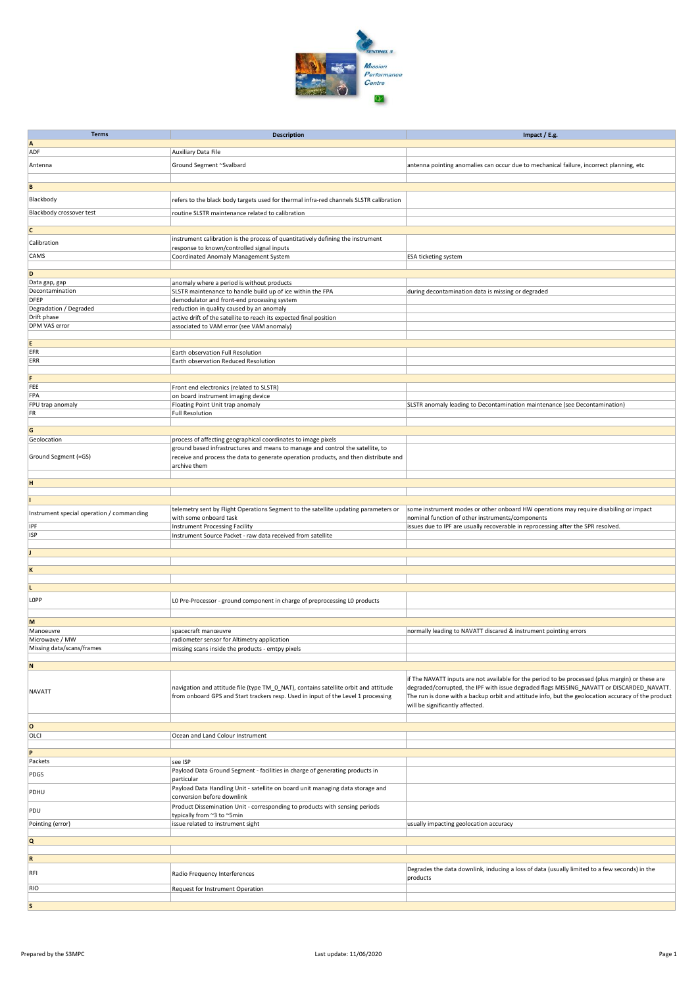

| <b>Terms</b>                              |                                                                                                                                                                          |                                                                                                                                                                                                 |
|-------------------------------------------|--------------------------------------------------------------------------------------------------------------------------------------------------------------------------|-------------------------------------------------------------------------------------------------------------------------------------------------------------------------------------------------|
| A                                         | <b>Description</b>                                                                                                                                                       | Impact / E.g.                                                                                                                                                                                   |
| ADF                                       | Auxiliary Data File                                                                                                                                                      |                                                                                                                                                                                                 |
| Antenna                                   | Ground Segment ~Svalbard                                                                                                                                                 |                                                                                                                                                                                                 |
|                                           |                                                                                                                                                                          | antenna pointing anomalies can occur due to mechanical failure, incorrect planning, etc                                                                                                         |
|                                           |                                                                                                                                                                          |                                                                                                                                                                                                 |
| B                                         |                                                                                                                                                                          |                                                                                                                                                                                                 |
| Blackbody                                 | refers to the black body targets used for thermal infra-red channels SLSTR calibration                                                                                   |                                                                                                                                                                                                 |
| <b>Blackbody crossover test</b>           | routine SLSTR maintenance related to calibration                                                                                                                         |                                                                                                                                                                                                 |
|                                           |                                                                                                                                                                          |                                                                                                                                                                                                 |
| c                                         |                                                                                                                                                                          |                                                                                                                                                                                                 |
| Calibration                               | instrument calibration is the process of quantitatively defining the instrument<br>response to known/controlled signal inputs                                            |                                                                                                                                                                                                 |
| CAMS                                      | Coordinated Anomaly Management System                                                                                                                                    | <b>ESA ticketing system</b>                                                                                                                                                                     |
|                                           |                                                                                                                                                                          |                                                                                                                                                                                                 |
| D                                         |                                                                                                                                                                          |                                                                                                                                                                                                 |
| Data gap, gap                             | anomaly where a period is without products                                                                                                                               |                                                                                                                                                                                                 |
| Decontamination<br><b>DFEP</b>            | SLSTR maintenance to handle build up of ice within the FPA                                                                                                               | during decontamination data is missing or degraded                                                                                                                                              |
| Degradation / Degraded                    | demodulator and front-end processing system<br>reduction in quality caused by an anomaly                                                                                 |                                                                                                                                                                                                 |
| Drift phase                               | active drift of the satellite to reach its expected final position                                                                                                       |                                                                                                                                                                                                 |
| <b>DPM VAS error</b>                      | associated to VAM error (see VAM anomaly)                                                                                                                                |                                                                                                                                                                                                 |
|                                           |                                                                                                                                                                          |                                                                                                                                                                                                 |
| E                                         |                                                                                                                                                                          |                                                                                                                                                                                                 |
| EFR<br>ERR                                | Earth observation Full Resolution                                                                                                                                        |                                                                                                                                                                                                 |
|                                           | Earth observation Reduced Resolution                                                                                                                                     |                                                                                                                                                                                                 |
| F                                         |                                                                                                                                                                          |                                                                                                                                                                                                 |
| FEE                                       | Front end electronics (related to SLSTR)                                                                                                                                 |                                                                                                                                                                                                 |
| FPA                                       | on board instrument imaging device                                                                                                                                       |                                                                                                                                                                                                 |
| FPU trap anomaly                          | Floating Point Unit trap anomaly                                                                                                                                         | SLSTR anomaly leading to Decontamination maintenance (see Decontamination)                                                                                                                      |
| FR                                        | <b>Full Resolution</b>                                                                                                                                                   |                                                                                                                                                                                                 |
| G                                         |                                                                                                                                                                          |                                                                                                                                                                                                 |
| Geolocation                               | process of affecting geographical coordinates to image pixels                                                                                                            |                                                                                                                                                                                                 |
|                                           | ground based infrastructures and means to manage and control the satellite, to                                                                                           |                                                                                                                                                                                                 |
| Ground Segment (=GS)                      | receive and process the data to generate operation products, and then distribute and                                                                                     |                                                                                                                                                                                                 |
|                                           | archive them                                                                                                                                                             |                                                                                                                                                                                                 |
| H                                         |                                                                                                                                                                          |                                                                                                                                                                                                 |
|                                           |                                                                                                                                                                          |                                                                                                                                                                                                 |
|                                           |                                                                                                                                                                          |                                                                                                                                                                                                 |
|                                           | telemetry sent by Flight Operations Segment to the satellite updating parameters or                                                                                      | some instrument modes or other onboard HW operations may require disabiling or impact                                                                                                           |
| Instrument special operation / commanding | with some onboard task                                                                                                                                                   | nominal function of other instruments/components                                                                                                                                                |
| IPF                                       | <b>Instrument Processing Facility</b>                                                                                                                                    | issues due to IPF are usually recoverable in reprocessing after the SPR resolved.                                                                                                               |
| <b>ISP</b>                                | Instrument Source Packet - raw data received from satellite                                                                                                              |                                                                                                                                                                                                 |
|                                           |                                                                                                                                                                          |                                                                                                                                                                                                 |
|                                           |                                                                                                                                                                          |                                                                                                                                                                                                 |
| K                                         |                                                                                                                                                                          |                                                                                                                                                                                                 |
|                                           |                                                                                                                                                                          |                                                                                                                                                                                                 |
| L                                         |                                                                                                                                                                          |                                                                                                                                                                                                 |
| LOPP                                      | LO Pre-Processor - ground component in charge of preprocessing LO products                                                                                               |                                                                                                                                                                                                 |
|                                           |                                                                                                                                                                          |                                                                                                                                                                                                 |
| M                                         |                                                                                                                                                                          |                                                                                                                                                                                                 |
| Manoeuvre                                 | spacecraft manœuvre                                                                                                                                                      | normally leading to NAVATT discared & instrument pointing errors                                                                                                                                |
| Microwave / MW                            | radiometer sensor for Altimetry application                                                                                                                              |                                                                                                                                                                                                 |
| Missing data/scans/frames                 | missing scans inside the products - emtpy pixels                                                                                                                         |                                                                                                                                                                                                 |
| N                                         |                                                                                                                                                                          |                                                                                                                                                                                                 |
|                                           |                                                                                                                                                                          |                                                                                                                                                                                                 |
|                                           |                                                                                                                                                                          | if The NAVATT inputs are not available for the period to be processed (plus margin) or these are                                                                                                |
| NAVATT                                    | navigation and attitude file (type TM_0_NAT), contains satellite orbit and attitude<br>from onboard GPS and Start trackers resp. Used in input of the Level 1 processing | degraded/corrupted, the IPF with issue degraded flags MISSING_NAVATT or DISCARDED_NAVATT.<br>The run is done with a backup orbit and attitude info, but the geolocation accuracy of the product |
|                                           |                                                                                                                                                                          | will be significantly affected.                                                                                                                                                                 |
|                                           |                                                                                                                                                                          |                                                                                                                                                                                                 |
| o                                         |                                                                                                                                                                          |                                                                                                                                                                                                 |
| OLCI                                      | Ocean and Land Colour Instrument                                                                                                                                         |                                                                                                                                                                                                 |
|                                           |                                                                                                                                                                          |                                                                                                                                                                                                 |
| P                                         |                                                                                                                                                                          |                                                                                                                                                                                                 |
| Packets                                   | see ISP                                                                                                                                                                  |                                                                                                                                                                                                 |
| PDGS                                      | Payload Data Ground Segment - facilities in charge of generating products in                                                                                             |                                                                                                                                                                                                 |
|                                           | particular                                                                                                                                                               |                                                                                                                                                                                                 |
| PDHU                                      | Payload Data Handling Unit - satellite on board unit managing data storage and<br>conversion before downlink                                                             |                                                                                                                                                                                                 |
|                                           | Product Dissemination Unit - corresponding to products with sensing periods                                                                                              |                                                                                                                                                                                                 |
| PDU                                       | typically from ~3 to ~5min                                                                                                                                               |                                                                                                                                                                                                 |
| Pointing (error)                          | issue related to instrument sight                                                                                                                                        | usually impacting geolocation accuracy                                                                                                                                                          |
|                                           |                                                                                                                                                                          |                                                                                                                                                                                                 |
| Q                                         |                                                                                                                                                                          |                                                                                                                                                                                                 |
| $\mathbf R$                               |                                                                                                                                                                          |                                                                                                                                                                                                 |
|                                           |                                                                                                                                                                          |                                                                                                                                                                                                 |
| RFI                                       | Radio Frequency Interferences                                                                                                                                            | Degrades the data downlink, inducing a loss of data (usually limited to a few seconds) in the<br>products                                                                                       |
| <b>RIO</b>                                |                                                                                                                                                                          |                                                                                                                                                                                                 |
|                                           | Request for Instrument Operation                                                                                                                                         |                                                                                                                                                                                                 |
| <b>S</b>                                  |                                                                                                                                                                          |                                                                                                                                                                                                 |